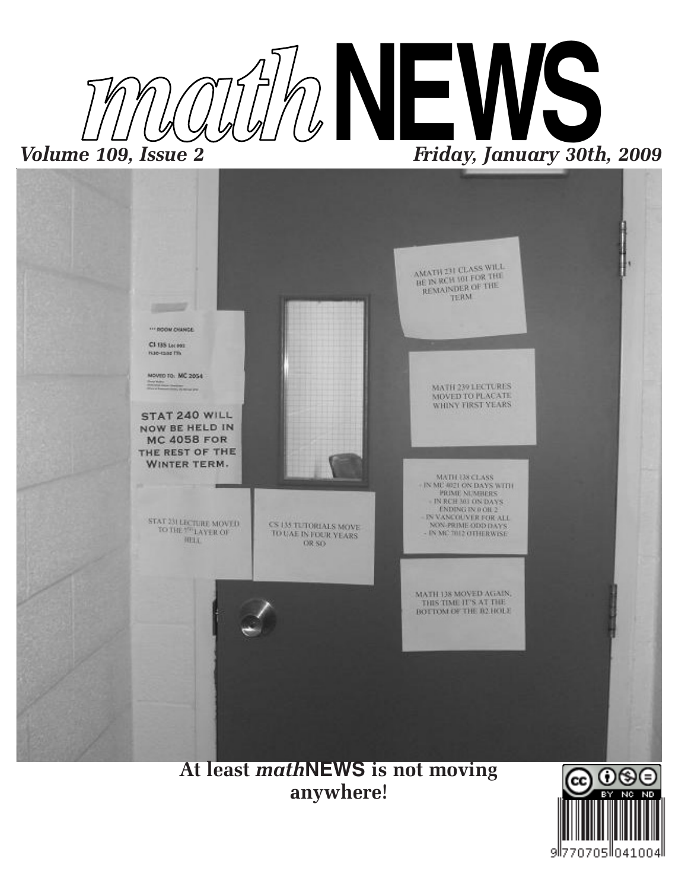



anywhere!

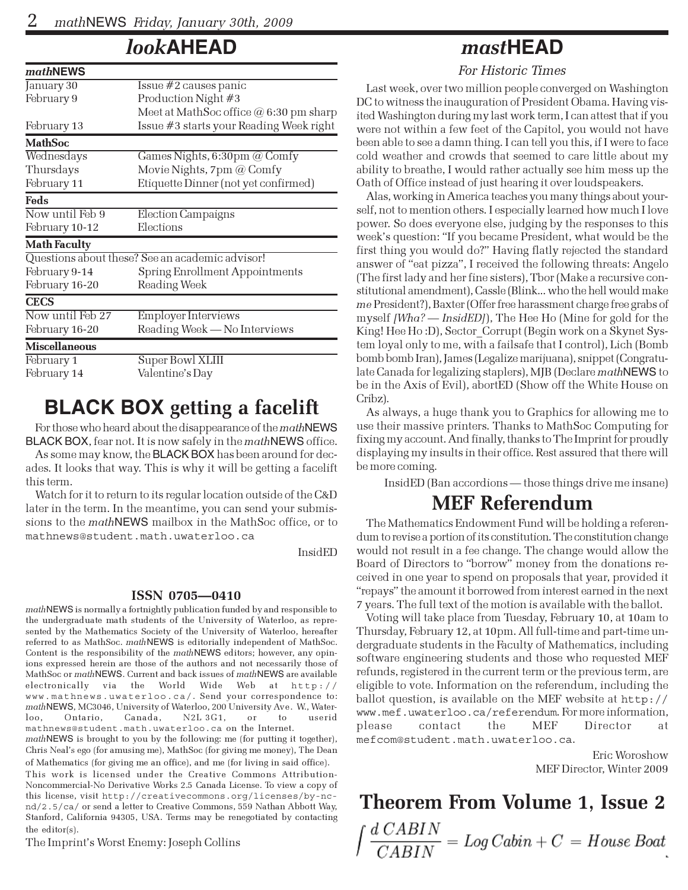### look**AHEAD**

| Issue $#2$ causes panic                         |
|-------------------------------------------------|
| Production Night #3                             |
| Meet at MathSoc office $@$ 6:30 pm sharp        |
| Issue #3 starts your Reading Week right         |
|                                                 |
| Games Nights, $6:30 \text{pm} \& \text{Comfy}$  |
| Movie Nights, 7pm @ Comfy                       |
| Etiquette Dinner (not yet confirmed)            |
|                                                 |
| <b>Election Campaigns</b>                       |
| Elections                                       |
|                                                 |
| Questions about these? See an academic advisor! |
| Spring Enrollment Appointments                  |
| Reading Week                                    |
|                                                 |
| <b>Employer Interviews</b>                      |
| Reading Week - No Interviews                    |
|                                                 |
| Super Bowl XLIII                                |
| Valentine's Day                                 |
|                                                 |

# **BLACK BOX** getting a facelift

For those who heard about the disappearance of the mathNEWS BLACK BOX, fear not. It is now safely in the mathNEWS office.

As some may know, the BLACK BOX has been around for decades. It looks that way. This is why it will be getting a facelift this term.

Watch for it to return to its regular location outside of the C&D later in the term. In the meantime, you can send your submissions to the *math* **NEWS** mailbox in the MathSoc office, or to mathnews@student.math.uwaterloo.ca

InsidED

#### ISSN 0705—0410

mathNEWS is normally a fortnightly publication funded by and responsible to the undergraduate math students of the University of Waterloo, as represented by the Mathematics Society of the University of Waterloo, hereafter referred to as MathSoc. mathNEWS is editorially independent of MathSoc. Content is the responsibility of the *math* NEWS editors; however, any opinions expressed herein are those of the authors and not necessarily those of MathSoc or mathNEWS. Current and back issues of mathNEWS are available electronically via the World Wide Web at http:// www.mathnews.uwaterloo.ca/. Send your correspondence to: mathNEWS, MC3046, University of Waterloo, 200 University Ave. W., Waterloo, Ontario, Canada, N2L 3G1, or to userid mathnews@student.math.uwaterloo.ca on the Internet.

mathNEWS is brought to you by the following: me (for putting it together), Chris Neal's ego (for amusing me), MathSoc (for giving me money), The Dean of Mathematics (for giving me an office), and me (for living in said office).

This work is licensed under the Creative Commons Attribution-Noncommercial-No Derivative Works 2.5 Canada License. To view a copy of this license, visit http://creativecommons.org/licenses/by-ncnd/2.5/ca/ or send a letter to Creative Commons, 559 Nathan Abbott Way, Stanford, California 94305, USA. Terms may be renegotiated by contacting the editor(s).

The Imprint's Worst Enemy: Joseph Collins

### mast**HEAD**

For Historic Times

Last week, over two million people converged on Washington DC to witness the inauguration of President Obama. Having visited Washington during my last work term, I can attest that if you were not within a few feet of the Capitol, you would not have been able to see a damn thing. I can tell you this, if I were to face cold weather and crowds that seemed to care little about my ability to breathe, I would rather actually see him mess up the Oath of Office instead of just hearing it over loudspeakers.

Alas, working in America teaches you many things about yourself, not to mention others. I especially learned how much I love power. So does everyone else, judging by the responses to this week's question: "If you became President, what would be the first thing you would do?" Having flatly rejected the standard answer of "eat pizza", I received the following threats: Angelo (The first lady and her fine sisters), Tbor (Make a recursive constitutional amendment), Cassle (Blink... who the hell would make me President?), Baxter (Offer free harassment charge free grabs of myself [Wha? — InsidED]), The Hee Ho (Mine for gold for the King! Hee Ho :D), Sector\_Corrupt (Begin work on a Skynet System loyal only to me, with a failsafe that I control), Lich (Bomb bomb bomb Iran), James (Legalize marijuana), snippet (Congratulate Canada for legalizing staplers), MJB (Declare mathNEWS to be in the Axis of Evil), abortED (Show off the White House on Cribz).

As always, a huge thank you to Graphics for allowing me to use their massive printers. Thanks to MathSoc Computing for fixing my account. And finally, thanks to The Imprint for proudly displaying my insults in their office. Rest assured that there will be more coming.

InsidED (Ban accordions — those things drive me insane)

### MEF Referendum

The Mathematics Endowment Fund will be holding a referendum to revise a portion of its constitution. The constitution change would not result in a fee change. The change would allow the Board of Directors to "borrow" money from the donations received in one year to spend on proposals that year, provided it "repays" the amount it borrowed from interest earned in the next 7 years. The full text of the motion is available with the ballot.

Voting will take place from Tuesday, February 10, at 10am to Thursday, February 12, at 10pm. All full-time and part-time undergraduate students in the Faculty of Mathematics, including software engineering students and those who requested MEF refunds, registered in the current term or the previous term, are eligible to vote. Information on the referendum, including the ballot question, is available on the MEF website at http:// www.mef.uwaterloo.ca/referendum. For more information, please contact the MEF Director at mefcom@student.math.uwaterloo.ca.

> Eric Woroshow MEF Director, Winter 2009

Theorem From Volume 1, Issue 2 $\int \frac{d\;CABIN}{CABIN} = Log\;Cabin + C = House\;Bout$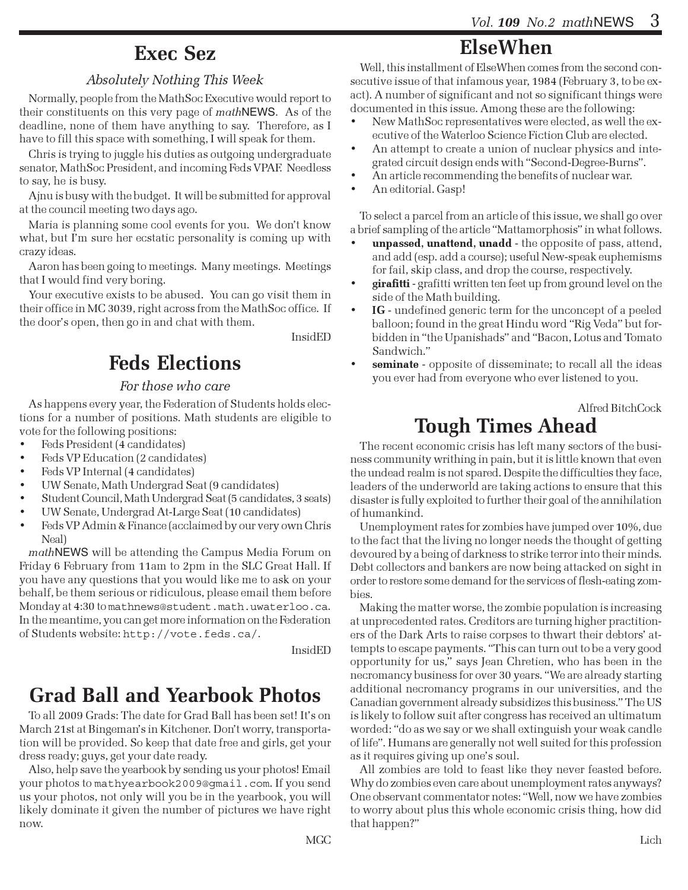### Exec Sez

#### Absolutely Nothing This Week

Normally, people from the MathSoc Executive would report to their constituents on this very page of mathNEWS. As of the deadline, none of them have anything to say. Therefore, as I have to fill this space with something, I will speak for them.

Chris is trying to juggle his duties as outgoing undergraduate senator, MathSoc President, and incoming Feds VPAF. Needless to say, he is busy.

Ajnu is busy with the budget. It will be submitted for approval at the council meeting two days ago.

Maria is planning some cool events for you. We don't know what, but I'm sure her ecstatic personality is coming up with crazy ideas.

Aaron has been going to meetings. Many meetings. Meetings that I would find very boring.

Your executive exists to be abused. You can go visit them in their office in MC 3039, right across from the MathSoc office. If the door's open, then go in and chat with them.

InsidED

# Feds Elections

#### For those who care

As happens every year, the Federation of Students holds elections for a number of positions. Math students are eligible to vote for the following positions:

- Feds President (4 candidates)
- Feds VP Education (2 candidates)
- Feds VP Internal (4 candidates)
- UW Senate, Math Undergrad Seat (9 candidates)
- Student Council, Math Undergrad Seat (5 candidates, 3 seats)
- UW Senate, Undergrad At-Large Seat (10 candidates)
- Feds VP Admin & Finance (acclaimed by our very own Chris Neal)

mathNEWS will be attending the Campus Media Forum on Friday 6 February from 11am to 2pm in the SLC Great Hall. If you have any questions that you would like me to ask on your behalf, be them serious or ridiculous, please email them before Monday at 4:30 to mathnews@student.math.uwaterloo.ca. In the meantime, you can get more information on the Federation of Students website: http://vote.feds.ca/.

InsidED

# Grad Ball and Yearbook Photos

To all 2009 Grads: The date for Grad Ball has been set! It's on March 21st at Bingeman's in Kitchener. Don't worry, transportation will be provided. So keep that date free and girls, get your dress ready; guys, get your date ready.

Also, help save the yearbook by sending us your photos! Email your photos to mathyearbook2009@gmail.com. If you send us your photos, not only will you be in the yearbook, you will likely dominate it given the number of pictures we have right now.

Well, this installment of ElseWhen comes from the second consecutive issue of that infamous year, 1984 (February 3, to be exact). A number of significant and not so significant things were documented in this issue. Among these are the following:

- New MathSoc representatives were elected, as well the executive of the Waterloo Science Fiction Club are elected.
- An attempt to create a union of nuclear physics and integrated circuit design ends with "Second-Degree-Burns".
- An article recommending the benefits of nuclear war.
- An editorial. Gasp!

To select a parcel from an article of this issue, we shall go over a brief sampling of the article "Mattamorphosis" in what follows.

- unpassed, unattend, unadd the opposite of pass, attend, and add (esp. add a course); useful New-speak euphemisms for fail, skip class, and drop the course, respectively.
- girafitti grafitti written ten feet up from ground level on the side of the Math building.
- IG undefined generic term for the unconcept of a peeled balloon; found in the great Hindu word "Rig Veda" but forbidden in "the Upanishads" and "Bacon, Lotus and Tomato Sandwich."
- seminate opposite of disseminate; to recall all the ideas you ever had from everyone who ever listened to you.

Alfred BitchCock

# Tough Times Ahead

The recent economic crisis has left many sectors of the business community writhing in pain, but it is little known that even the undead realm is not spared. Despite the difficulties they face, leaders of the underworld are taking actions to ensure that this disaster is fully exploited to further their goal of the annihilation of humankind.

Unemployment rates for zombies have jumped over 10%, due to the fact that the living no longer needs the thought of getting devoured by a being of darkness to strike terror into their minds. Debt collectors and bankers are now being attacked on sight in order to restore some demand for the services of flesh-eating zombies.

Making the matter worse, the zombie population is increasing at unprecedented rates. Creditors are turning higher practitioners of the Dark Arts to raise corpses to thwart their debtors' attempts to escape payments. "This can turn out to be a very good opportunity for us," says Jean Chretien, who has been in the necromancy business for over 30 years. "We are already starting additional necromancy programs in our universities, and the Canadian government already subsidizes this business." The US is likely to follow suit after congress has received an ultimatum worded: "do as we say or we shall extinguish your weak candle of life". Humans are generally not well suited for this profession as it requires giving up one's soul.

All zombies are told to feast like they never feasted before. Why do zombies even care about unemployment rates anyways? One observant commentator notes: "Well, now we have zombies to worry about plus this whole economic crisis thing, how did that happen?"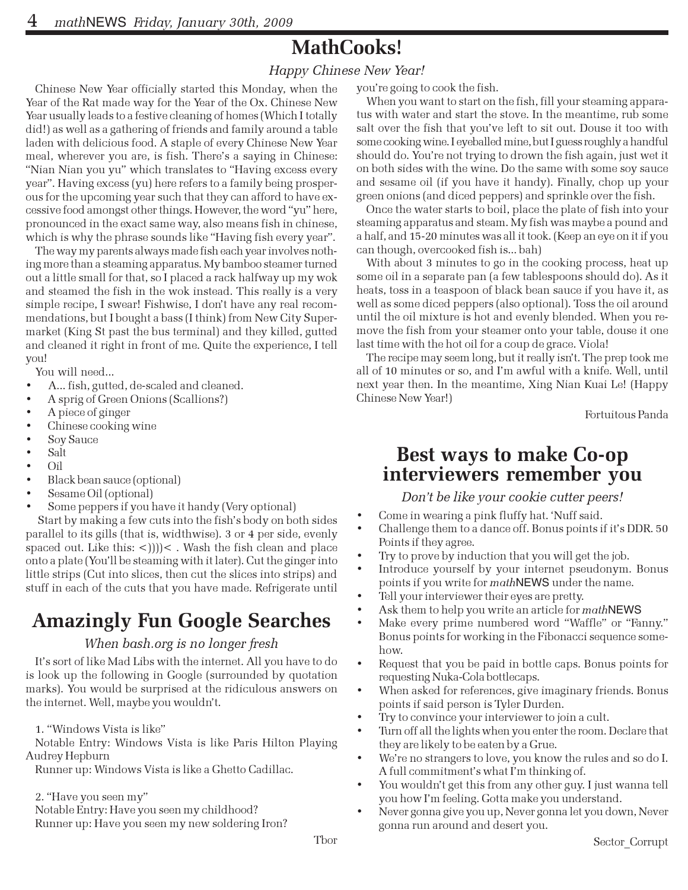### MathCooks!

#### Happy Chinese New Year!

Chinese New Year officially started this Monday, when the Year of the Rat made way for the Year of the Ox. Chinese New Year usually leads to a festive cleaning of homes (Which I totally did!) as well as a gathering of friends and family around a table laden with delicious food. A staple of every Chinese New Year meal, wherever you are, is fish. There's a saying in Chinese: "Nian Nian you yu" which translates to "Having excess every year". Having excess (yu) here refers to a family being prosperous for the upcoming year such that they can afford to have excessive food amongst other things. However, the word "yu" here, pronounced in the exact same way, also means fish in chinese, which is why the phrase sounds like "Having fish every year".

The way my parents always made fish each year involves nothing more than a steaming apparatus. My bamboo steamer turned out a little small for that, so I placed a rack halfway up my wok and steamed the fish in the wok instead. This really is a very simple recipe, I swear! Fishwise, I don't have any real recommendations, but I bought a bass (I think) from New City Supermarket (King St past the bus terminal) and they killed, gutted and cleaned it right in front of me. Quite the experience, I tell you!

You will need...

- A... fish, gutted, de-scaled and cleaned.
- A sprig of Green Onions (Scallions?)
- A piece of ginger
- Chinese cooking wine
- Soy Sauce
- Salt
- Oil
- Black bean sauce (optional)
- Sesame Oil (optional)
- Some peppers if you have it handy (Very optional)

 Start by making a few cuts into the fish's body on both sides parallel to its gills (that is, widthwise). 3 or 4 per side, evenly spaced out. Like this:  $\langle$ ])) $\rangle$  . Wash the fish clean and place onto a plate (You'll be steaming with it later). Cut the ginger into little strips (Cut into slices, then cut the slices into strips) and stuff in each of the cuts that you have made. Refrigerate until

# Amazingly Fun Google Searches

#### When bash.org is no longer fresh

It's sort of like Mad Libs with the internet. All you have to do is look up the following in Google (surrounded by quotation marks). You would be surprised at the ridiculous answers on the internet. Well, maybe you wouldn't.

1. "Windows Vista is like"

Notable Entry: Windows Vista is like Paris Hilton Playing Audrey Hepburn

Runner up: Windows Vista is like a Ghetto Cadillac.

2. "Have you seen my"

Notable Entry: Have you seen my childhood? Runner up: Have you seen my new soldering Iron? you're going to cook the fish.

When you want to start on the fish, fill your steaming apparatus with water and start the stove. In the meantime, rub some salt over the fish that you've left to sit out. Douse it too with some cooking wine. I eyeballed mine, but I guess roughly a handful should do. You're not trying to drown the fish again, just wet it on both sides with the wine. Do the same with some soy sauce and sesame oil (if you have it handy). Finally, chop up your green onions (and diced peppers) and sprinkle over the fish.

Once the water starts to boil, place the plate of fish into your steaming apparatus and steam. My fish was maybe a pound and a half, and 15-20 minutes was all it took. (Keep an eye on it if you can though, overcooked fish is... bah)

With about 3 minutes to go in the cooking process, heat up some oil in a separate pan (a few tablespoons should do). As it heats, toss in a teaspoon of black bean sauce if you have it, as well as some diced peppers (also optional). Toss the oil around until the oil mixture is hot and evenly blended. When you remove the fish from your steamer onto your table, douse it one last time with the hot oil for a coup de grace. Viola!

The recipe may seem long, but it really isn't. The prep took me all of 10 minutes or so, and I'm awful with a knife. Well, until next year then. In the meantime, Xing Nian Kuai Le! (Happy Chinese New Year!)

Fortuitous Panda

### Best ways to make Co-op interviewers remember you

#### Don't be like your cookie cutter peers!

- Come in wearing a pink fluffy hat. 'Nuff said.
- Challenge them to a dance off. Bonus points if it's DDR. 50 Points if they agree.
- Try to prove by induction that you will get the job.
- Introduce yourself by your internet pseudonym. Bonus points if you write for mathNEWS under the name.
- Tell your interviewer their eyes are pretty.
- Ask them to help you write an article for mathNEWS
- Make every prime numbered word "Waffle" or "Fanny." Bonus points for working in the Fibonacci sequence somehow.
- Request that you be paid in bottle caps. Bonus points for requesting Nuka-Cola bottlecaps.
- When asked for references, give imaginary friends. Bonus points if said person is Tyler Durden.
- Try to convince your interviewer to join a cult.
- Turn off all the lights when you enter the room. Declare that they are likely to be eaten by a Grue.
- We're no strangers to love, you know the rules and so do I. A full commitment's what I'm thinking of.
- You wouldn't get this from any other guy. I just wanna tell you how I'm feeling. Gotta make you understand.
- Never gonna give you up, Never gonna let you down, Never gonna run around and desert you.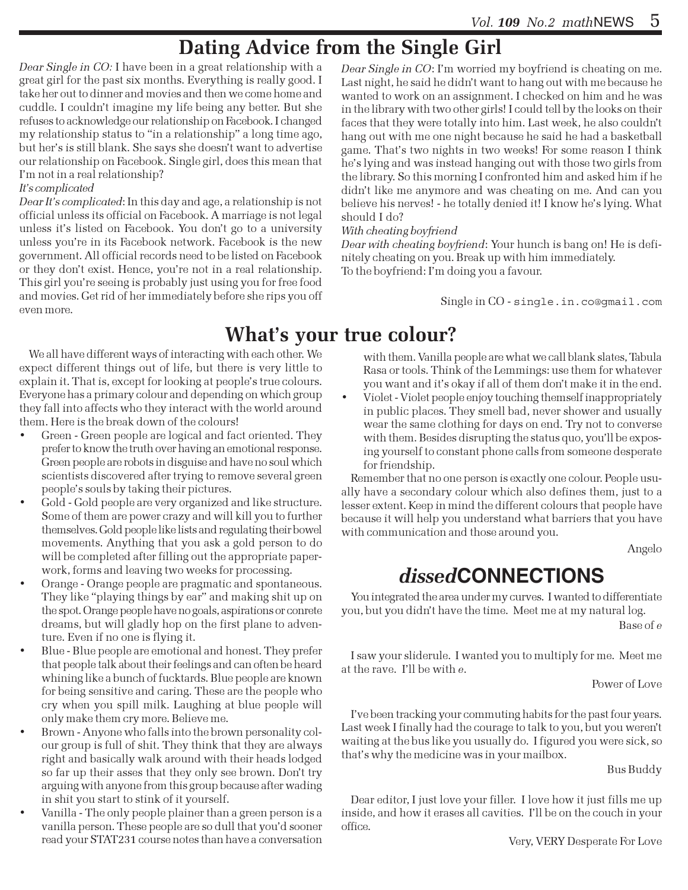# Dating Advice from the Single Girl

Dear Single in CO: I have been in a great relationship with a great girl for the past six months. Everything is really good. I take her out to dinner and movies and then we come home and cuddle. I couldn't imagine my life being any better. But she refuses to acknowledge our relationship on Facebook. I changed my relationship status to "in a relationship" a long time ago, but her's is still blank. She says she doesn't want to advertise our relationship on Facebook. Single girl, does this mean that I'm not in a real relationship?

#### It's complicated

Dear It's complicated: In this day and age, a relationship is not official unless its official on Facebook. A marriage is not legal unless it's listed on Facebook. You don't go to a university unless you're in its Facebook network. Facebook is the new government. All official records need to be listed on Facebook or they don't exist. Hence, you're not in a real relationship. This girl you're seeing is probably just using you for free food and movies. Get rid of her immediately before she rips you off even more.

Dear Single in CO: I'm worried my boyfriend is cheating on me. Last night, he said he didn't want to hang out with me because he wanted to work on an assignment. I checked on him and he was in the library with two other girls! I could tell by the looks on their faces that they were totally into him. Last week, he also couldn't hang out with me one night because he said he had a basketball game. That's two nights in two weeks! For some reason I think he's lying and was instead hanging out with those two girls from the library. So this morning I confronted him and asked him if he didn't like me anymore and was cheating on me. And can you believe his nerves! - he totally denied it! I know he's lying. What should I do?

#### With cheating boyfriend

Dear with cheating boyfriend: Your hunch is bang on! He is definitely cheating on you. Break up with him immediately. To the boyfriend: I'm doing you a favour.

Single in CO - single.in.co@gmail.com

# What's your true colour?

We all have different ways of interacting with each other. We expect different things out of life, but there is very little to explain it. That is, except for looking at people's true colours. Everyone has a primary colour and depending on which group they fall into affects who they interact with the world around them. Here is the break down of the colours!

- Green Green people are logical and fact oriented. They prefer to know the truth over having an emotional response. Green people are robots in disguise and have no soul which scientists discovered after trying to remove several green people's souls by taking their pictures.
- Gold Gold people are very organized and like structure. Some of them are power crazy and will kill you to further themselves. Gold people like lists and regulating their bowel movements. Anything that you ask a gold person to do will be completed after filling out the appropriate paperwork, forms and leaving two weeks for processing.
- Orange Orange people are pragmatic and spontaneous. They like "playing things by ear" and making shit up on the spot. Orange people have no goals, aspirations or conrete dreams, but will gladly hop on the first plane to adventure. Even if no one is flying it.
- Blue Blue people are emotional and honest. They prefer that people talk about their feelings and can often be heard whining like a bunch of fucktards. Blue people are known for being sensitive and caring. These are the people who cry when you spill milk. Laughing at blue people will only make them cry more. Believe me.
- Brown Anyone who falls into the brown personality colour group is full of shit. They think that they are always right and basically walk around with their heads lodged so far up their asses that they only see brown. Don't try arguing with anyone from this group because after wading in shit you start to stink of it yourself.
- Vanilla The only people plainer than a green person is a vanilla person. These people are so dull that you'd sooner read your STAT231 course notes than have a conversation

with them. Vanilla people are what we call blank slates, Tabula Rasa or tools. Think of the Lemmings: use them for whatever you want and it's okay if all of them don't make it in the end.

• Violet - Violet people enjoy touching themself inappropriately in public places. They smell bad, never shower and usually wear the same clothing for days on end. Try not to converse with them. Besides disrupting the status quo, you'll be exposing yourself to constant phone calls from someone desperate for friendship.

Remember that no one person is exactly one colour. People usually have a secondary colour which also defines them, just to a lesser extent. Keep in mind the different colours that people have because it will help you understand what barriers that you have with communication and those around you.

Angelo

### dissed**CONNECTIONS**

You integrated the area under my curves. I wanted to differentiate you, but you didn't have the time. Meet me at my natural log.

Base of e

I saw your sliderule. I wanted you to multiply for me. Meet me at the rave. I'll be with e.

Power of Love

I've been tracking your commuting habits for the past four years. Last week I finally had the courage to talk to you, but you weren't waiting at the bus like you usually do. I figured you were sick, so that's why the medicine was in your mailbox.

Bus Buddy

Dear editor, I just love your filler. I love how it just fills me up inside, and how it erases all cavities. I'll be on the couch in your office.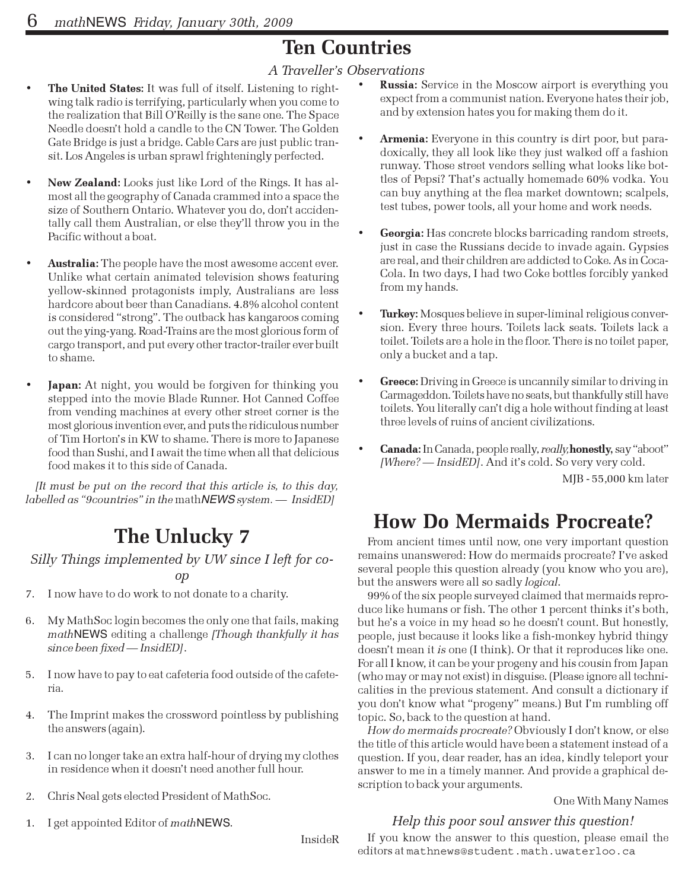# Ten Countries

#### A Traveller's Observations

- The United States: It was full of itself. Listening to rightwing talk radio is terrifying, particularly when you come to the realization that Bill O'Reilly is the sane one. The Space Needle doesn't hold a candle to the CN Tower. The Golden Gate Bridge is just a bridge. Cable Cars are just public transit. Los Angeles is urban sprawl frighteningly perfected.
- New Zealand: Looks just like Lord of the Rings. It has almost all the geography of Canada crammed into a space the size of Southern Ontario. Whatever you do, don't accidentally call them Australian, or else they'll throw you in the Pacific without a boat.
- Australia: The people have the most awesome accent ever. Unlike what certain animated television shows featuring yellow-skinned protagonists imply, Australians are less hardcore about beer than Canadians. 4.8% alcohol content is considered "strong". The outback has kangaroos coming out the ying-yang. Road-Trains are the most glorious form of cargo transport, and put every other tractor-trailer ever built to shame.
- **Japan:** At night, you would be forgiven for thinking you stepped into the movie Blade Runner. Hot Canned Coffee from vending machines at every other street corner is the most glorious invention ever, and puts the ridiculous number of Tim Horton's in KW to shame. There is more to Japanese food than Sushi, and I await the time when all that delicious food makes it to this side of Canada.

[It must be put on the record that this article is, to this day, labelled as "9countries" in the mathNEWS system. — InsidED]

# The Unlucky 7

Silly Things implemented by UW since I left for co-

#### op

- 7. I now have to do work to not donate to a charity.
- 6. My MathSoc login becomes the only one that fails, making mathNEWS editing a challenge *[Though thankfully it has* since been fixed — InsidED].
- 5. I now have to pay to eat cafeteria food outside of the cafeteria.
- 4. The Imprint makes the crossword pointless by publishing the answers (again).
- 3. I can no longer take an extra half-hour of drying my clothes in residence when it doesn't need another full hour.
- 2. Chris Neal gets elected President of MathSoc.
- 1. I get appointed Editor of mathNEWS.
- **Russia:** Service in the Moscow airport is everything you expect from a communist nation. Everyone hates their job, and by extension hates you for making them do it.
- Armenia: Everyone in this country is dirt poor, but paradoxically, they all look like they just walked off a fashion runway. Those street vendors selling what looks like bottles of Pepsi? That's actually homemade 60% vodka. You can buy anything at the flea market downtown; scalpels, test tubes, power tools, all your home and work needs.
- Georgia: Has concrete blocks barricading random streets, just in case the Russians decide to invade again. Gypsies are real, and their children are addicted to Coke. As in Coca-Cola. In two days, I had two Coke bottles forcibly yanked from my hands.
- Turkey: Mosques believe in super-liminal religious conversion. Every three hours. Toilets lack seats. Toilets lack a toilet. Toilets are a hole in the floor. There is no toilet paper, only a bucket and a tap.
- **Greece:** Driving in Greece is uncannily similar to driving in Carmageddon. Toilets have no seats, but thankfully still have toilets. You literally can't dig a hole without finding at least three levels of ruins of ancient civilizations.
- Canada: In Canada, people really, really, honestly, say "aboot" [Where? — InsidED]. And it's cold. So very very cold.

MJB - 55,000 km later

# How Do Mermaids Procreate?

From ancient times until now, one very important question remains unanswered: How do mermaids procreate? I've asked several people this question already (you know who you are), but the answers were all so sadly *logical*.

99% of the six people surveyed claimed that mermaids reproduce like humans or fish. The other 1 percent thinks it's both, but he's a voice in my head so he doesn't count. But honestly, people, just because it looks like a fish-monkey hybrid thingy doesn't mean it is one (I think). Or that it reproduces like one. For all I know, it can be your progeny and his cousin from Japan (who may or may not exist) in disguise. (Please ignore all technicalities in the previous statement. And consult a dictionary if you don't know what "progeny" means.) But I'm rumbling off topic. So, back to the question at hand.

How do mermaids procreate? Obviously I don't know, or else the title of this article would have been a statement instead of a question. If you, dear reader, has an idea, kindly teleport your answer to me in a timely manner. And provide a graphical description to back your arguments.

One With Many Names

#### Help this poor soul answer this question!

InsideR

If you know the answer to this question, please email the editors at mathnews@student.math.uwaterloo.ca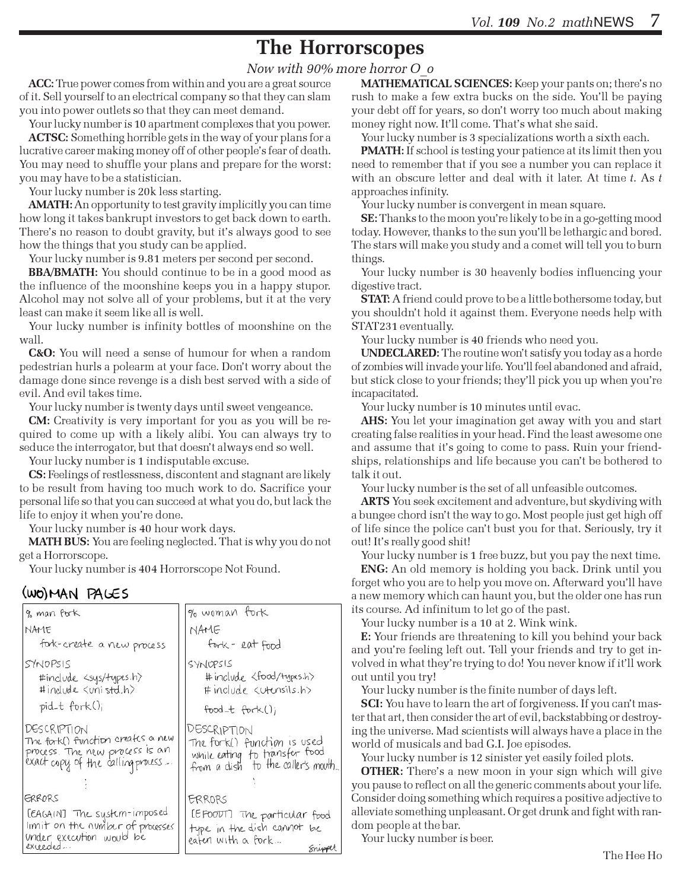### The Horrorscopes

#### Now with 90% more horror O\_o

ACC: True power comes from within and you are a great source of it. Sell yourself to an electrical company so that they can slam you into power outlets so that they can meet demand.

Your lucky number is 10 apartment complexes that you power. ACTSC: Something horrible gets in the way of your plans for a lucrative career making money off of other people's fear of death. You may need to shuffle your plans and prepare for the worst: you may have to be a statistician.

Your lucky number is 20k less starting.

AMATH: An opportunity to test gravity implicitly you can time how long it takes bankrupt investors to get back down to earth. There's no reason to doubt gravity, but it's always good to see how the things that you study can be applied.

Your lucky number is 9.81 meters per second per second.

BBA/BMATH: You should continue to be in a good mood as the influence of the moonshine keeps you in a happy stupor. Alcohol may not solve all of your problems, but it at the very least can make it seem like all is well.

Your lucky number is infinity bottles of moonshine on the wall.

C&O: You will need a sense of humour for when a random pedestrian hurls a polearm at your face. Don't worry about the damage done since revenge is a dish best served with a side of evil. And evil takes time.

Your lucky number is twenty days until sweet vengeance.

CM: Creativity is very important for you as you will be required to come up with a likely alibi. You can always try to seduce the interrogator, but that doesn't always end so well.

Your lucky number is 1 indisputable excuse.

CS: Feelings of restlessness, discontent and stagnant are likely to be result from having too much work to do. Sacrifice your personal life so that you can succeed at what you do, but lack the life to enjoy it when you're done.

Your lucky number is 40 hour work days.

MATH BUS: You are feeling neglected. That is why you do not get a Horrorscope.

Your lucky number is 404 Horrorscope Not Found.

#### (WO) MAN PAGES

| 9, man fork                                                                                                             | % woman fork                                                                                                      |
|-------------------------------------------------------------------------------------------------------------------------|-------------------------------------------------------------------------------------------------------------------|
| NAME                                                                                                                    | NAME                                                                                                              |
| fork-create a new process                                                                                               | fork-eat food                                                                                                     |
| SYNOPSIS<br>#include <sys types.h=""><br/>#indude <unistd.h><br/>pid-t fork();</unistd.h></sys>                         | SYNOPSIS<br>#include <food types.h=""><br/># include <utensils.h><br/>food-t fork();</utensils.h></food>          |
| DESCRIPTION<br>The fork() function creates a new<br>process. The new process is an<br>exact copy of the calling process | DESCRIPTION<br>The fork() function is used<br>while eating to transfer food<br>from a dish to the caller's mouth. |
| ERRORS<br>[EAGAIN] The system-imposed<br>limit on the number of processes<br>under execution would be<br>exceeded       | ERRORS<br>[EFOODT] The particular food<br>type in the dish cannot be<br>eaten with a fork<br>Snippet              |

MATHEMATICAL SCIENCES: Keep your pants on; there's no rush to make a few extra bucks on the side. You'll be paying your debt off for years, so don't worry too much about making money right now. It'll come. That's what she said.

Your lucky number is 3 specializations worth a sixth each.

**PMATH:** If school is testing your patience at its limit then you need to remember that if you see a number you can replace it with an obscure letter and deal with it later. At time  $t$ . As  $t$ approaches infinity.

Your lucky number is convergent in mean square.

SE: Thanks to the moon you're likely to be in a go-getting mood today. However, thanks to the sun you'll be lethargic and bored. The stars will make you study and a comet will tell you to burn things.

Your lucky number is 30 heavenly bodies influencing your digestive tract.

**STAT:** A friend could prove to be a little bothersome today, but you shouldn't hold it against them. Everyone needs help with STAT231 eventually.

Your lucky number is 40 friends who need you.

UNDECLARED: The routine won't satisfy you today as a horde of zombies will invade your life. You'll feel abandoned and afraid, but stick close to your friends; they'll pick you up when you're incapacitated.

Your lucky number is 10 minutes until evac.

AHS: You let your imagination get away with you and start creating false realities in your head. Find the least awesome one and assume that it's going to come to pass. Ruin your friendships, relationships and life because you can't be bothered to talk it out.

Your lucky number is the set of all unfeasible outcomes.

ARTS You seek excitement and adventure, but skydiving with a bungee chord isn't the way to go. Most people just get high off of life since the police can't bust you for that. Seriously, try it out! It's really good shit!

Your lucky number is 1 free buzz, but you pay the next time.

ENG: An old memory is holding you back. Drink until you forget who you are to help you move on. Afterward you'll have a new memory which can haunt you, but the older one has run its course. Ad infinitum to let go of the past.

Your lucky number is a 10 at 2. Wink wink.

E: Your friends are threatening to kill you behind your back and you're feeling left out. Tell your friends and try to get involved in what they're trying to do! You never know if it'll work out until you try!

Your lucky number is the finite number of days left.

SCI: You have to learn the art of forgiveness. If you can't master that art, then consider the art of evil, backstabbing or destroying the universe. Mad scientists will always have a place in the world of musicals and bad G.I. Joe episodes.

Your lucky number is 12 sinister yet easily foiled plots.

OTHER: There's a new moon in your sign which will give you pause to reflect on all the generic comments about your life. Consider doing something which requires a positive adjective to alleviate something unpleasant. Or get drunk and fight with random people at the bar.

Your lucky number is beer.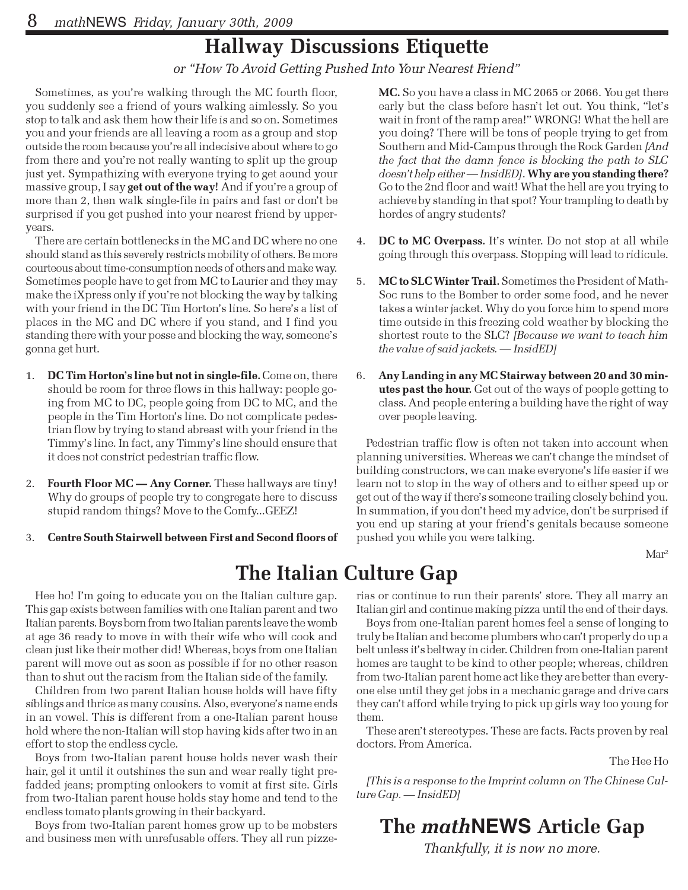# Hallway Discussions Etiquette

or "How To Avoid Getting Pushed Into Your Nearest Friend"

Sometimes, as you're walking through the MC fourth floor, you suddenly see a friend of yours walking aimlessly. So you stop to talk and ask them how their life is and so on. Sometimes you and your friends are all leaving a room as a group and stop outside the room because you're all indecisive about where to go from there and you're not really wanting to split up the group just yet. Sympathizing with everyone trying to get aound your massive group, I say get out of the way! And if you're a group of more than 2, then walk single-file in pairs and fast or don't be surprised if you get pushed into your nearest friend by upperyears.

There are certain bottlenecks in the MC and DC where no one should stand as this severely restricts mobility of others. Be more courteous about time-consumption needs of others and make way. Sometimes people have to get from MC to Laurier and they may make the iXpress only if you're not blocking the way by talking with your friend in the DC Tim Horton's line. So here's a list of places in the MC and DC where if you stand, and I find you standing there with your posse and blocking the way, someone's gonna get hurt.

- DC Tim Horton's line but not in single-file. Come on, there should be room for three flows in this hallway: people going from MC to DC, people going from DC to MC, and the people in the Tim Horton's line. Do not complicate pedestrian flow by trying to stand abreast with your friend in the Timmy's line. In fact, any Timmy's line should ensure that it does not constrict pedestrian traffic flow.
- 2. Fourth Floor MC Any Corner. These hallways are tiny! Why do groups of people try to congregate here to discuss stupid random things? Move to the Comfy...GEEZ!
- 3. Centre South Stairwell between First and Second floors of

MC. So you have a class in MC 2065 or 2066. You get there early but the class before hasn't let out. You think, "let's wait in front of the ramp area!" WRONG! What the hell are you doing? There will be tons of people trying to get from Southern and Mid-Campus through the Rock Garden [And the fact that the damn fence is blocking the path to SLC doesn't help either - InsidED]. Why are you standing there? Go to the 2nd floor and wait! What the hell are you trying to achieve by standing in that spot? Your trampling to death by hordes of angry students?

- 4. DC to MC Overpass. It's winter. Do not stop at all while going through this overpass. Stopping will lead to ridicule.
- 5. MC to SLC Winter Trail. Sometimes the President of Math-Soc runs to the Bomber to order some food, and he never takes a winter jacket. Why do you force him to spend more time outside in this freezing cold weather by blocking the shortest route to the SLC? [Because we want to teach him the value of said jackets. — InsidED]
- 6. Any Landing in any MC Stairway between 20 and 30 minutes past the hour. Get out of the ways of people getting to class. And people entering a building have the right of way over people leaving.

Pedestrian traffic flow is often not taken into account when planning universities. Whereas we can't change the mindset of building constructors, we can make everyone's life easier if we learn not to stop in the way of others and to either speed up or get out of the way if there's someone trailing closely behind you. In summation, if you don't heed my advice, don't be surprised if you end up staring at your friend's genitals because someone pushed you while you were talking.

 $Mar<sup>2</sup>$ 

# The Italian Culture Gap

Hee ho! I'm going to educate you on the Italian culture gap. This gap exists between families with one Italian parent and two Italian parents. Boys born from two Italian parents leave the womb at age 36 ready to move in with their wife who will cook and clean just like their mother did! Whereas, boys from one Italian parent will move out as soon as possible if for no other reason than to shut out the racism from the Italian side of the family.

Children from two parent Italian house holds will have fifty siblings and thrice as many cousins. Also, everyone's name ends in an vowel. This is different from a one-Italian parent house hold where the non-Italian will stop having kids after two in an effort to stop the endless cycle.

Boys from two-Italian parent house holds never wash their hair, gel it until it outshines the sun and wear really tight prefadded jeans; prompting onlookers to vomit at first site. Girls from two-Italian parent house holds stay home and tend to the endless tomato plants growing in their backyard.

Boys from two-Italian parent homes grow up to be mobsters and business men with unrefusable offers. They all run pizzerias or continue to run their parents' store. They all marry an Italian girl and continue making pizza until the end of their days.

Boys from one-Italian parent homes feel a sense of longing to truly be Italian and become plumbers who can't properly do up a belt unless it's beltway in cider. Children from one-Italian parent homes are taught to be kind to other people; whereas, children from two-Italian parent home act like they are better than everyone else until they get jobs in a mechanic garage and drive cars they can't afford while trying to pick up girls way too young for them.

These aren't stereotypes. These are facts. Facts proven by real doctors. From America.

The Hee Ho

[This is a response to the Imprint column on The Chinese Culture Gap. — InsidED]

# The math**NEWS** Article Gap

Thankfully, it is now no more.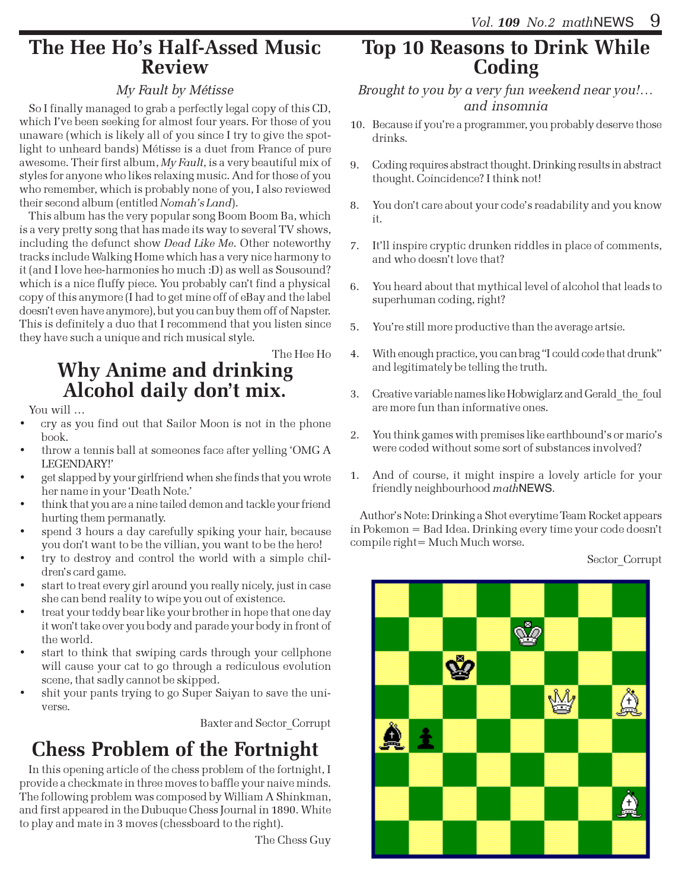### The Hee Ho's Half-Assed Music Review

#### My Fault by Métisse

So I finally managed to grab a perfectly legal copy of this CD, which I've been seeking for almost four years. For those of you unaware (which is likely all of you since I try to give the spotlight to unheard bands) Métisse is a duet from France of pure awesome. Their first album, My Fault, is a very beautiful mix of styles for anyone who likes relaxing music. And for those of you who remember, which is probably none of you, I also reviewed their second album (entitled Nomah's Land).

This album has the very popular song Boom Boom Ba, which is a very pretty song that has made its way to several TV shows, including the defunct show Dead Like Me. Other noteworthy tracks include Walking Home which has a very nice harmony to it (and I love hee-harmonies ho much :D) as well as Sousound? which is a nice fluffy piece. You probably can't find a physical copy of this anymore (I had to get mine off of eBay and the label doesn't even have anymore), but you can buy them off of Napster. This is definitely a duo that I recommend that you listen since they have such a unique and rich musical style.

The Hee Ho

### Why Anime and drinking Alcohol daily don't mix.

You will …

- cry as you find out that Sailor Moon is not in the phone book.
- throw a tennis ball at someones face after yelling 'OMG A LEGENDARY!'
- get slapped by your girlfriend when she finds that you wrote her name in your 'Death Note.'
- think that you are a nine tailed demon and tackle your friend hurting them permanatly.
- spend 3 hours a day carefully spiking your hair, because you don't want to be the villian, you want to be the hero!
- try to destroy and control the world with a simple children's card game.
- start to treat every girl around you really nicely, just in case she can bend reality to wipe you out of existence.
- treat your teddy bear like your brother in hope that one day it won't take over you body and parade your body in front of the world.
- start to think that swiping cards through your cellphone will cause your cat to go through a rediculous evolution scene, that sadly cannot be skipped.
- shit your pants trying to go Super Saiyan to save the universe.

Baxter and Sector\_Corrupt

# Chess Problem of the Fortnight

In this opening article of the chess problem of the fortnight, I provide a checkmate in three moves to baffle your naive minds. The following problem was composed by William A Shinkman, and first appeared in the Dubuque Chess Journal in 1890. White to play and mate in 3 moves (chessboard to the right).

The Chess Guy

### Top 10 Reasons to Drink While Coding

Brought to you by a very fun weekend near you!… and insomnia

- 10. Because if you're a programmer, you probably deserve those drinks.
- 9. Coding requires abstract thought. Drinking results in abstract thought. Coincidence? I think not!
- 8. You don't care about your code's readability and you know it.
- 7. It'll inspire cryptic drunken riddles in place of comments, and who doesn't love that?
- 6. You heard about that mythical level of alcohol that leads to superhuman coding, right?
- 5. You're still more productive than the average artsie.
- 4. With enough practice, you can brag "I could code that drunk" and legitimately be telling the truth.
- 3. Creative variable names like Hobwiglarz and Gerald\_the\_foul are more fun than informative ones.
- 2. You think games with premises like earthbound's or mario's were coded without some sort of substances involved?
- 1. And of course, it might inspire a lovely article for your friendly neighbourhood mathNEWS.

Author's Note: Drinking a Shot everytime Team Rocket appears in Pokemon = Bad Idea. Drinking every time your code doesn't compile right= Much Much worse.

#### Sector\_Corrupt

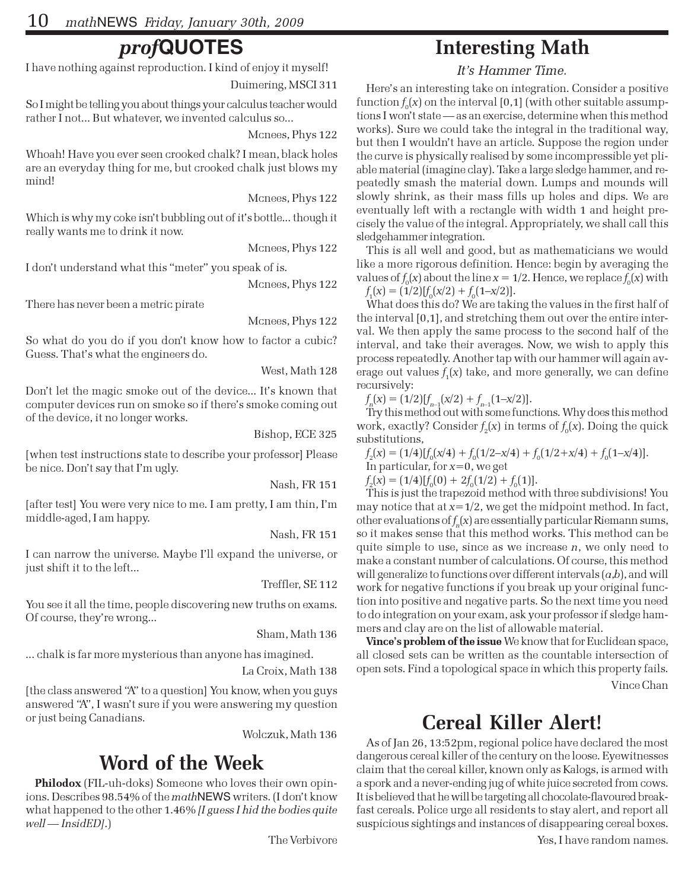### prof**QUOTES**

I have nothing against reproduction. I kind of enjoy it myself! Duimering, MSCI 311

So I might be telling you about things your calculus teacher would rather I not... But whatever, we invented calculus so...

Mcnees, Phys 122

Whoah! Have you ever seen crooked chalk? I mean, black holes are an everyday thing for me, but crooked chalk just blows my mind!

Mcnees, Phys 122

Which is why my coke isn't bubbling out of it's bottle... though it really wants me to drink it now.

Mcnees, Phys 122

I don't understand what this "meter" you speak of is.

Mcnees, Phys 122

There has never been a metric pirate

Mcnees, Phys 122

So what do you do if you don't know how to factor a cubic? Guess. That's what the engineers do.

West, Math 128

Don't let the magic smoke out of the device... It's known that computer devices run on smoke so if there's smoke coming out of the device, it no longer works.

Bishop, ECE 325

[when test instructions state to describe your professor] Please be nice. Don't say that I'm ugly.

Nash, FR 151

[after test] You were very nice to me. I am pretty, I am thin, I'm middle-aged, I am happy.

Nash, FR 151

I can narrow the universe. Maybe I'll expand the universe, or just shift it to the left...

Treffler, SE 112

You see it all the time, people discovering new truths on exams. Of course, they're wrong...

Sham, Math 136

... chalk is far more mysterious than anyone has imagined.

La Croix, Math 138

[the class answered "A" to a question] You know, when you guys answered "A", I wasn't sure if you were answering my question or just being Canadians.

Wolczuk, Math 136

# Word of the Week

Philodox (FIL-uh-doks) Someone who loves their own opinions. Describes 98.54% of the mathNEWS writers. (I don't know what happened to the other 1.46% [I guess I hid the bodies quite well — InsidED].)

The Verbivore

### Interesting Math

#### It's Hammer Time.

Here's an interesting take on integration. Consider a positive function  $f_{\rm o}({\bf x})$  on the interval [0,1] (with other suitable assumptions I won't state — as an exercise, determine when this method works). Sure we could take the integral in the traditional way, but then I wouldn't have an article. Suppose the region under the curve is physically realised by some incompressible yet pliable material (imagine clay). Take a large sledge hammer, and repeatedly smash the material down. Lumps and mounds will slowly shrink, as their mass fills up holes and dips. We are eventually left with a rectangle with width 1 and height precisely the value of the integral. Appropriately, we shall call this sledgehammer integration.

This is all well and good, but as mathematicians we would like a more rigorous definition. Hence: begin by averaging the values of  $f_0(x)$  about the line  $x = 1/2$ . Hence, we replace  $f_0(x)$  with

 $f_1(x) = (1/2)[f_0(x/2) + f_0(1-x/2)].$ 

What does this do? We are taking the values in the first half of the interval [0,1], and stretching them out over the entire interval. We then apply the same process to the second half of the interval, and take their averages. Now, we wish to apply this process repeatedly. Another tap with our hammer will again average out values  $f_{\scriptscriptstyle 1}({\textnormal{x}})$  take, and more generally, we can define recursively:

 $f_n(x) = (1/2)[f_{n-1}(x/2) + f_{n-1}(1-x/2)].$ 

Try this method out with some functions. Why does this method work, exactly? Consider  $f_2(x)$  in terms of  $f_0(x)$ . Doing the quick substitutions,

 $f_2(x) = (1/4)[f_0(x/4) + f_0(1/2-x/4) + f_0(1/2+x/4) + f_0(1-x/4)].$ 

In particular, for  $x=0$ , we get

 $f_2(x) = (1/4)[f_0(0) + 2f_0(1/2) + f_0(1)].$ 

This is just the trapezoid method with three subdivisions! You may notice that at  $x=1/2$ , we get the midpoint method. In fact, other evaluations of  $f_{n}(x)$  are essentially particular Riemann sums, so it makes sense that this method works. This method can be quite simple to use, since as we increase n, we only need to make a constant number of calculations. Of course, this method will generalize to functions over different intervals  $(a,b)$ , and will work for negative functions if you break up your original function into positive and negative parts. So the next time you need to do integration on your exam, ask your professor if sledge hammers and clay are on the list of allowable material.

Vince's problem of the issue We know that for Euclidean space, all closed sets can be written as the countable intersection of open sets. Find a topological space in which this property fails. Vince Chan

# Cereal Killer Alert!

As of Jan 26, 13:52pm, regional police have declared the most dangerous cereal killer of the century on the loose. Eyewitnesses claim that the cereal killer, known only as Kalogs, is armed with a spork and a never-ending jug of white juice secreted from cows. It is believed that he will be targeting all chocolate-flavoured breakfast cereals. Police urge all residents to stay alert, and report all suspicious sightings and instances of disappearing cereal boxes.

Yes, I have random names.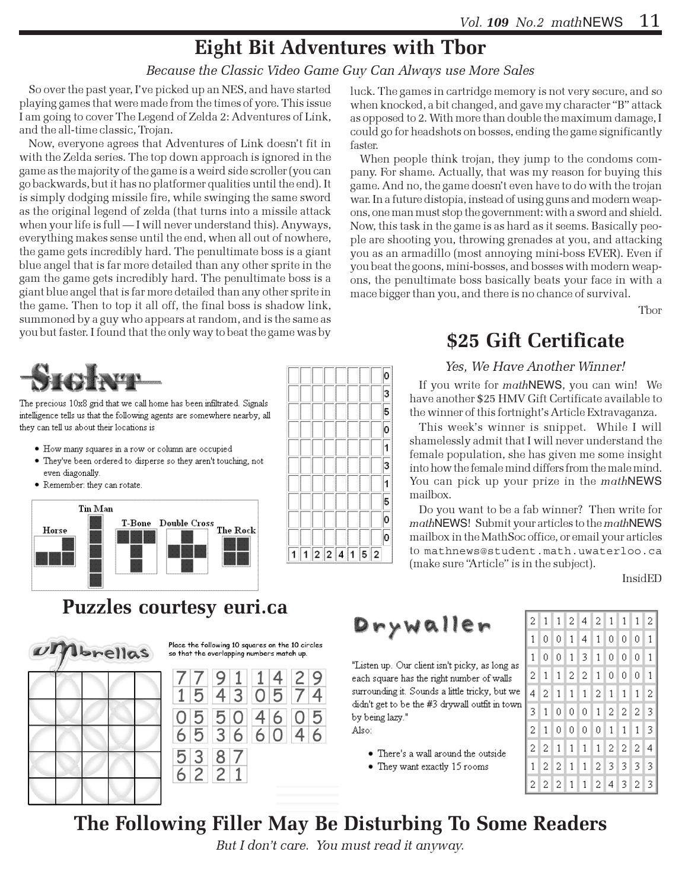# Eight Bit Adventures with Tbor

#### Because the Classic Video Game Guy Can Always use More Sales

So over the past year, I've picked up an NES, and have started playing games that were made from the times of yore. This issue I am going to cover The Legend of Zelda 2: Adventures of Link, and the all-time classic, Trojan.

Now, everyone agrees that Adventures of Link doesn't fit in with the Zelda series. The top down approach is ignored in the game as the majority of the game is a weird side scroller (you can go backwards, but it has no platformer qualities until the end). It is simply dodging missile fire, while swinging the same sword as the original legend of zelda (that turns into a missile attack when your life is full — I will never understand this). Anyways, everything makes sense until the end, when all out of nowhere, the game gets incredibly hard. The penultimate boss is a giant blue angel that is far more detailed than any other sprite in the gam the game gets incredibly hard. The penultimate boss is a giant blue angel that is far more detailed than any other sprite in the game. Then to top it all off, the final boss is shadow link, summoned by a guy who appears at random, and is the same as you but faster. I found that the only way to beat the game was by

luck. The games in cartridge memory is not very secure, and so when knocked, a bit changed, and gave my character "B" attack as opposed to 2. With more than double the maximum damage, I could go for headshots on bosses, ending the game significantly faster.

When people think trojan, they jump to the condoms company. For shame. Actually, that was my reason for buying this game. And no, the game doesn't even have to do with the trojan war. In a future distopia, instead of using guns and modern weapons, one man must stop the government: with a sword and shield. Now, this task in the game is as hard as it seems. Basically people are shooting you, throwing grenades at you, and attacking you as an armadillo (most annoying mini-boss EVER). Even if you beat the goons, mini-bosses, and bosses with modern weapons, the penultimate boss basically beats your face in with a mace bigger than you, and there is no chance of survival.

Tbor

The precious 10x8 grid that we call home has been infiltrated. Signals intelligence tells us that the following agents are somewhere nearby, all they can tell us about their locations is

- . How many squares in a row or column are occupied
- . They've been ordered to disperse so they aren't touching, not even diagonally.
- · Remember: they can rotate.





# \$25 Gift Certificate

#### Yes, We Have Another Winner!

If you write for mathNEWS, you can win! We have another \$25 HMV Gift Certificate available to the winner of this fortnight's Article Extravaganza.

This week's winner is snippet. While I will shamelessly admit that I will never understand the female population, she has given me some insight into how the female mind differs from the male mind. You can pick up your prize in the mathNEWS mailbox.

Do you want to be a fab winner? Then write for mathNEWS! Submit your articles to the mathNEWS mailbox in the MathSoc office, or email your articles to mathnews@student.math.uwaterloo.ca (make sure "Article" is in the subject).

InsidED

### Puzzles courtesy euri.ca



| lace the following 10 squares on the 10 circles' |  |
|--------------------------------------------------|--|
| o that the overlapping numbers match up.         |  |





"Listen up. Our client isn't picky, as long as each square has the right number of walls surrounding it. Sounds a little tricky, but we didn't get to be the #3 drywall outfit in town by being lazy." Also:

- There's a wall around the outside
- They want exactly 15 rooms



# The Following Filler May Be Disturbing To Some Readers

But I don't care. You must read it anyway.